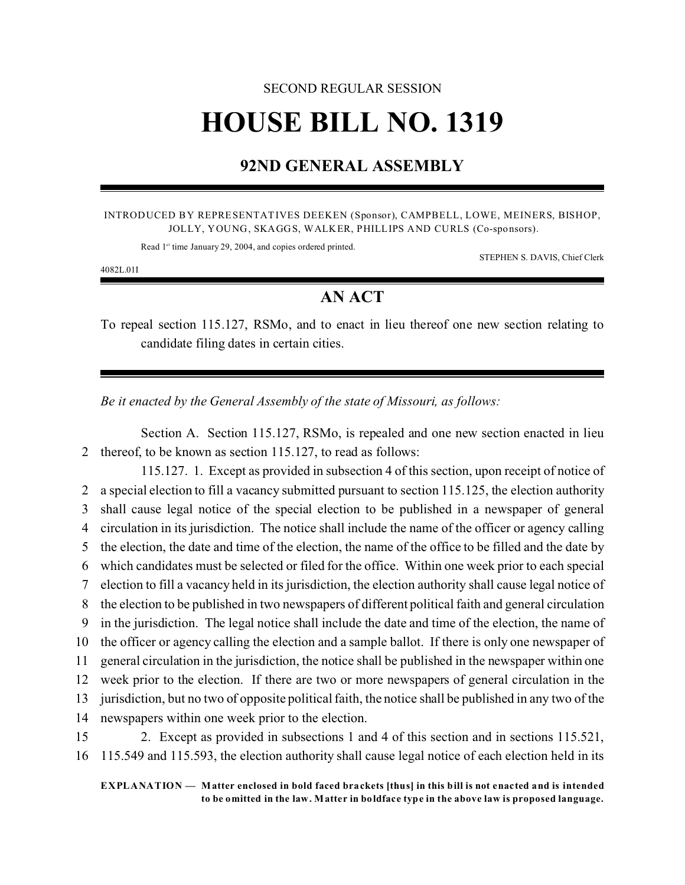# SECOND REGULAR SESSION **HOUSE BILL NO. 1319**

## **92ND GENERAL ASSEMBLY**

#### INTRODUCED BY REPRESENTATIVES DEEKEN (Sponsor), CAMPBELL, LOWE, MEINERS, BISHOP, JOLLY, YOUNG, SKAGGS, WALKER, PHILLIPS AND CURLS (Co-sponsors).

Read 1<sup>st</sup> time January 29, 2004, and copies ordered printed.

STEPHEN S. DAVIS, Chief Clerk

4082L.01I

## **AN ACT**

To repeal section 115.127, RSMo, and to enact in lieu thereof one new section relating to candidate filing dates in certain cities.

*Be it enacted by the General Assembly of the state of Missouri, as follows:*

Section A. Section 115.127, RSMo, is repealed and one new section enacted in lieu 2 thereof, to be known as section 115.127, to read as follows:

115.127. 1. Except as provided in subsection 4 of this section, upon receipt of notice of a special election to fill a vacancy submitted pursuant to section 115.125, the election authority shall cause legal notice of the special election to be published in a newspaper of general circulation in its jurisdiction. The notice shall include the name of the officer or agency calling the election, the date and time of the election, the name of the office to be filled and the date by which candidates must be selected or filed for the office. Within one week prior to each special election to fill a vacancy held in its jurisdiction, the election authority shall cause legal notice of the election to be published in two newspapers of different political faith and general circulation in the jurisdiction. The legal notice shall include the date and time of the election, the name of the officer or agency calling the election and a sample ballot. If there is only one newspaper of general circulation in the jurisdiction, the notice shall be published in the newspaper within one week prior to the election. If there are two or more newspapers of general circulation in the jurisdiction, but no two of opposite political faith, the notice shall be published in any two of the newspapers within one week prior to the election. 2. Except as provided in subsections 1 and 4 of this section and in sections 115.521,

16 115.549 and 115.593, the election authority shall cause legal notice of each election held in its

**EXPLANATION — Matter enclosed in bold faced brackets [thus] in this bill is not enacted and is intended to be omitted in the law. Matter in boldface type in the above law is proposed language.**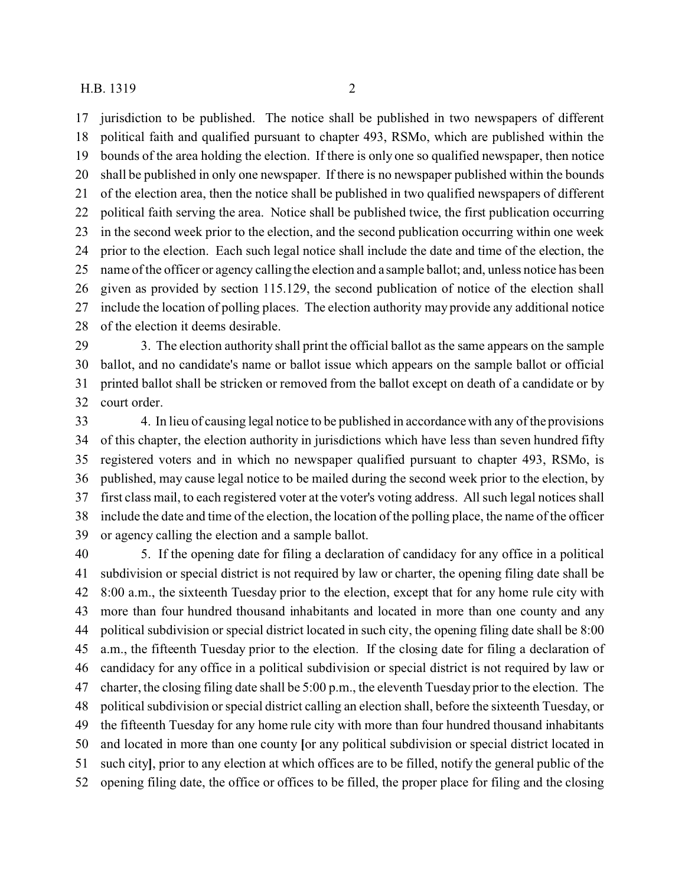#### H.B. 1319 2

 jurisdiction to be published. The notice shall be published in two newspapers of different political faith and qualified pursuant to chapter 493, RSMo, which are published within the bounds of the area holding the election. If there is only one so qualified newspaper, then notice shall be published in only one newspaper. If there is no newspaper published within the bounds of the election area, then the notice shall be published in two qualified newspapers of different political faith serving the area. Notice shall be published twice, the first publication occurring in the second week prior to the election, and the second publication occurring within one week prior to the election. Each such legal notice shall include the date and time of the election, the name of the officer or agency calling the election and a sample ballot; and, unless notice has been given as provided by section 115.129, the second publication of notice of the election shall include the location of polling places. The election authority may provide any additional notice of the election it deems desirable.

 3. The election authority shall print the official ballot as the same appears on the sample ballot, and no candidate's name or ballot issue which appears on the sample ballot or official printed ballot shall be stricken or removed from the ballot except on death of a candidate or by court order.

 4. In lieu of causing legal notice to be published in accordance with any of the provisions of this chapter, the election authority in jurisdictions which have less than seven hundred fifty registered voters and in which no newspaper qualified pursuant to chapter 493, RSMo, is published, may cause legal notice to be mailed during the second week prior to the election, by first class mail, to each registered voter at the voter's voting address. All such legal notices shall include the date and time of the election, the location of the polling place, the name of the officer or agency calling the election and a sample ballot.

 5. If the opening date for filing a declaration of candidacy for any office in a political subdivision or special district is not required by law or charter, the opening filing date shall be 8:00 a.m., the sixteenth Tuesday prior to the election, except that for any home rule city with more than four hundred thousand inhabitants and located in more than one county and any political subdivision or special district located in such city, the opening filing date shall be 8:00 a.m., the fifteenth Tuesday prior to the election. If the closing date for filing a declaration of candidacy for any office in a political subdivision or special district is not required by law or charter, the closing filing date shall be 5:00 p.m., the eleventh Tuesday prior to the election. The political subdivision or special district calling an election shall, before the sixteenth Tuesday, or the fifteenth Tuesday for any home rule city with more than four hundred thousand inhabitants and located in more than one county **[**or any political subdivision or special district located in such city**]**, prior to any election at which offices are to be filled, notify the general public of the opening filing date, the office or offices to be filled, the proper place for filing and the closing